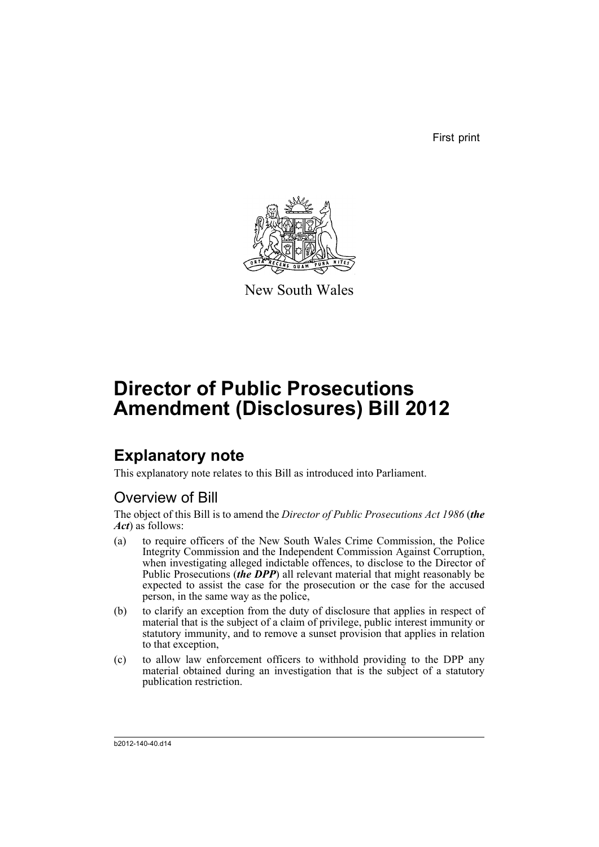First print



New South Wales

# **Director of Public Prosecutions Amendment (Disclosures) Bill 2012**

# **Explanatory note**

This explanatory note relates to this Bill as introduced into Parliament.

# Overview of Bill

The object of this Bill is to amend the *Director of Public Prosecutions Act 1986* (*the Act*) as follows:

- (a) to require officers of the New South Wales Crime Commission, the Police Integrity Commission and the Independent Commission Against Corruption, when investigating alleged indictable offences, to disclose to the Director of Public Prosecutions (*the DPP*) all relevant material that might reasonably be expected to assist the case for the prosecution or the case for the accused person, in the same way as the police,
- (b) to clarify an exception from the duty of disclosure that applies in respect of material that is the subject of a claim of privilege, public interest immunity or statutory immunity, and to remove a sunset provision that applies in relation to that exception,
- (c) to allow law enforcement officers to withhold providing to the DPP any material obtained during an investigation that is the subject of a statutory publication restriction.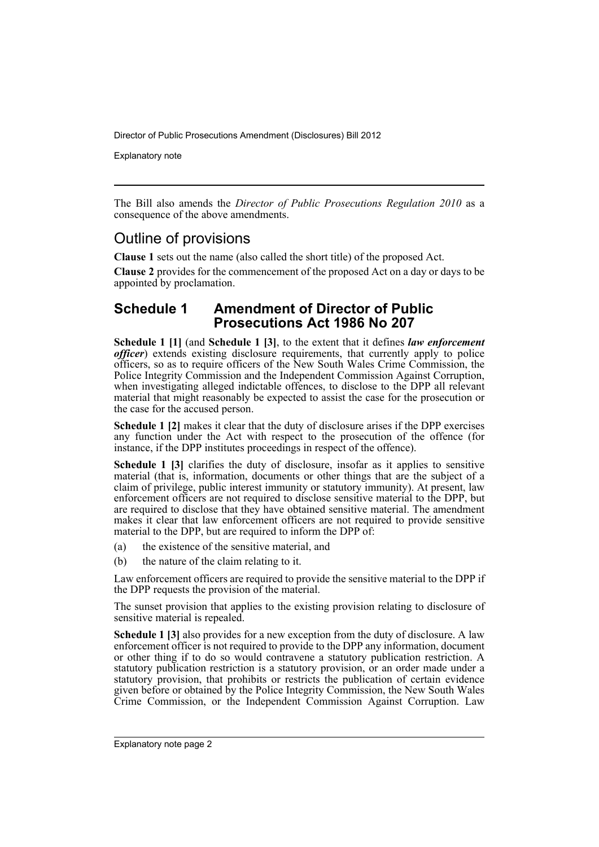Explanatory note

The Bill also amends the *Director of Public Prosecutions Regulation 2010* as a consequence of the above amendments.

# Outline of provisions

**Clause 1** sets out the name (also called the short title) of the proposed Act.

**Clause 2** provides for the commencement of the proposed Act on a day or days to be appointed by proclamation.

## **Schedule 1 Amendment of Director of Public Prosecutions Act 1986 No 207**

**Schedule 1 [1]** (and **Schedule 1 [3]**, to the extent that it defines *law enforcement officer*) extends existing disclosure requirements, that currently apply to police officers, so as to require officers of the New South Wales Crime Commission, the Police Integrity Commission and the Independent Commission Against Corruption, when investigating alleged indictable offences, to disclose to the DPP all relevant material that might reasonably be expected to assist the case for the prosecution or the case for the accused person.

**Schedule 1 [2]** makes it clear that the duty of disclosure arises if the DPP exercises any function under the Act with respect to the prosecution of the offence (for instance, if the DPP institutes proceedings in respect of the offence).

**Schedule 1 [3]** clarifies the duty of disclosure, insofar as it applies to sensitive material (that is, information, documents or other things that are the subject of a claim of privilege, public interest immunity or statutory immunity). At present, law enforcement officers are not required to disclose sensitive material to the DPP, but are required to disclose that they have obtained sensitive material. The amendment makes it clear that law enforcement officers are not required to provide sensitive material to the DPP, but are required to inform the DPP of:

- (a) the existence of the sensitive material, and
- (b) the nature of the claim relating to it.

Law enforcement officers are required to provide the sensitive material to the DPP if the DPP requests the provision of the material.

The sunset provision that applies to the existing provision relating to disclosure of sensitive material is repealed.

**Schedule 1 [3]** also provides for a new exception from the duty of disclosure. A law enforcement officer is not required to provide to the DPP any information, document or other thing if to do so would contravene a statutory publication restriction. A statutory publication restriction is a statutory provision, or an order made under a statutory provision, that prohibits or restricts the publication of certain evidence given before or obtained by the Police Integrity Commission, the New South Wales Crime Commission, or the Independent Commission Against Corruption. Law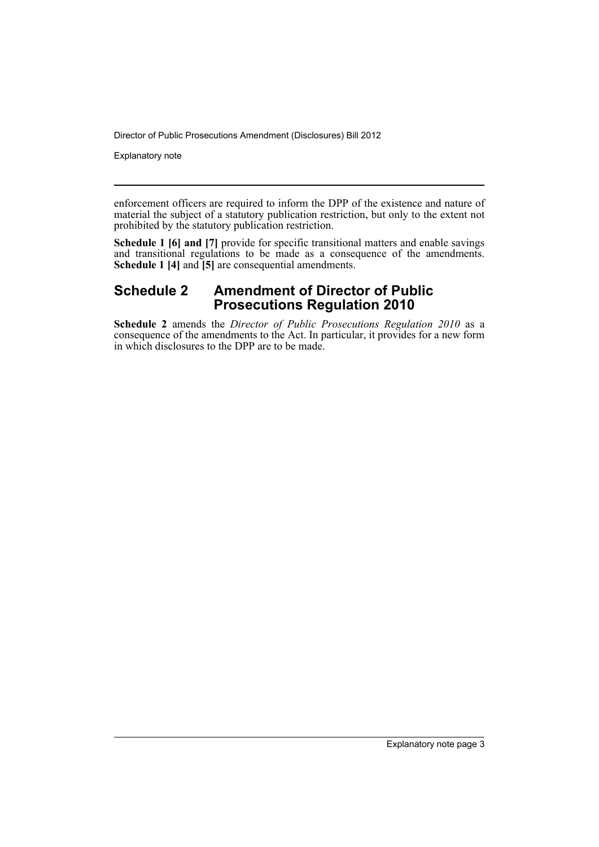Explanatory note

enforcement officers are required to inform the DPP of the existence and nature of material the subject of a statutory publication restriction, but only to the extent not prohibited by the statutory publication restriction.

**Schedule 1 [6] and [7]** provide for specific transitional matters and enable savings and transitional regulations to be made as a consequence of the amendments. **Schedule 1 [4]** and **[5]** are consequential amendments.

## **Schedule 2 Amendment of Director of Public Prosecutions Regulation 2010**

**Schedule 2** amends the *Director of Public Prosecutions Regulation 2010* as a consequence of the amendments to the Act. In particular, it provides for a new form in which disclosures to the DPP are to be made.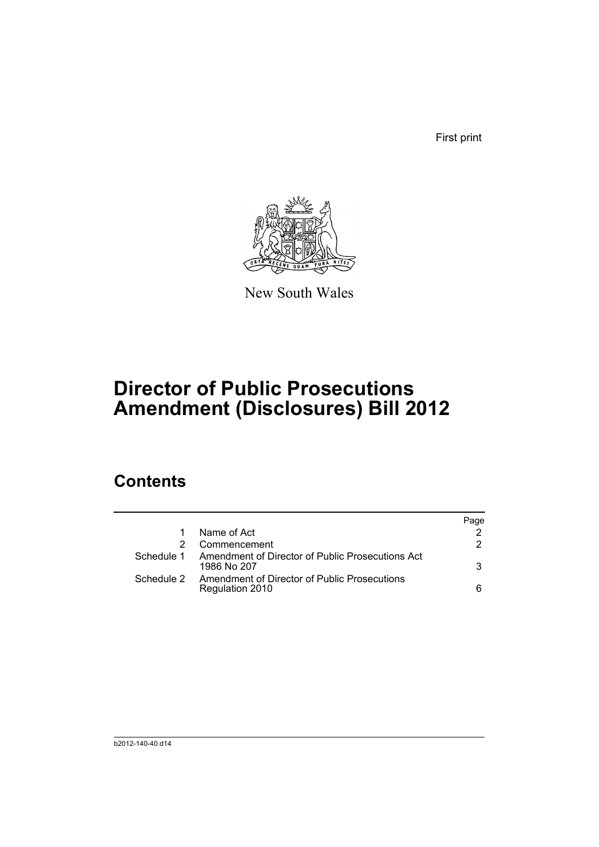First print



New South Wales

# **Director of Public Prosecutions Amendment (Disclosures) Bill 2012**

# **Contents**

|            |                                                                 | Page |
|------------|-----------------------------------------------------------------|------|
|            | Name of Act                                                     |      |
|            | Commencement                                                    | 2    |
| Schedule 1 | Amendment of Director of Public Prosecutions Act<br>1986 No 207 | 3    |
| Schedule 2 | Amendment of Director of Public Prosecutions<br>Regulation 2010 | 6    |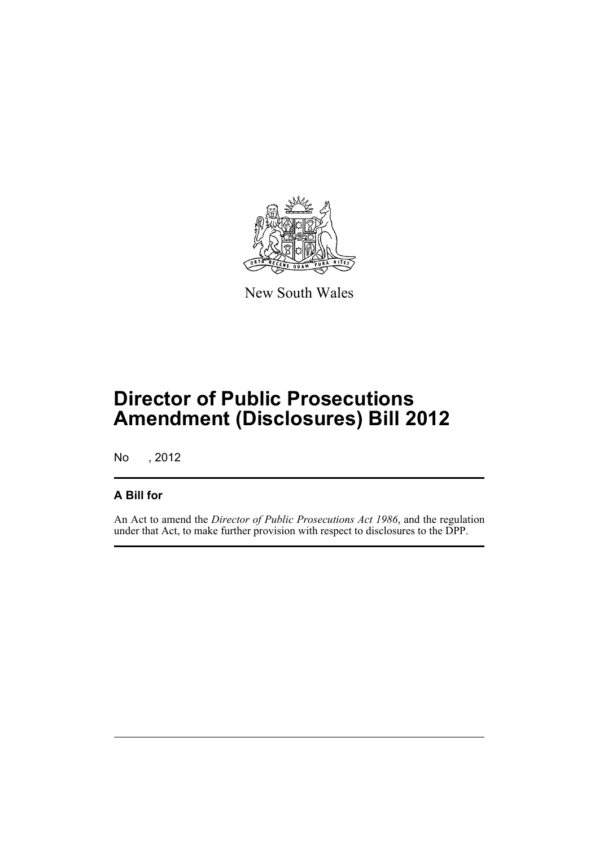

New South Wales

# **Director of Public Prosecutions Amendment (Disclosures) Bill 2012**

No , 2012

## **A Bill for**

An Act to amend the *Director of Public Prosecutions Act 1986*, and the regulation under that Act, to make further provision with respect to disclosures to the DPP.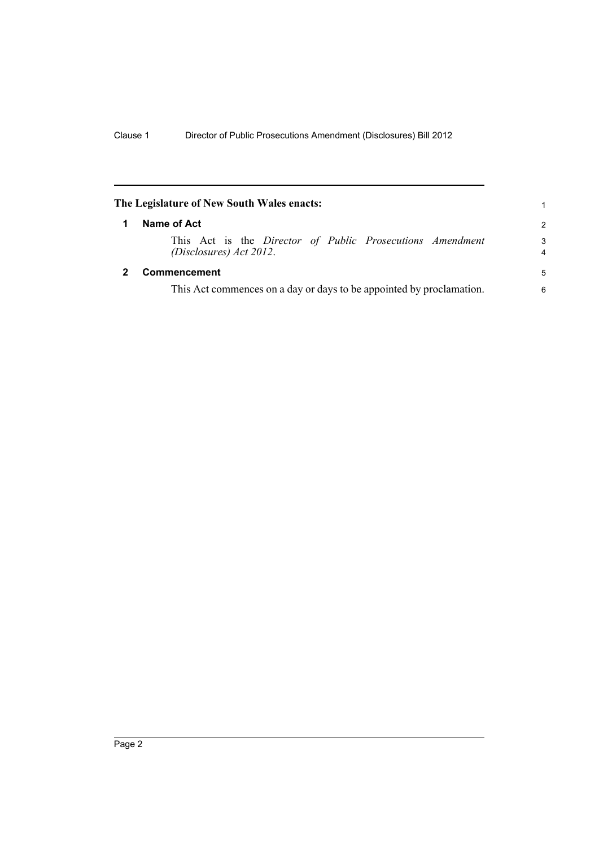<span id="page-7-1"></span><span id="page-7-0"></span>

| The Legislature of New South Wales enacts:                                           | 1             |
|--------------------------------------------------------------------------------------|---------------|
| Name of Act                                                                          | $\mathcal{P}$ |
| This Act is the Director of Public Prosecutions Amendment<br>(Disclosures) Act 2012. | 3<br>4        |
| <b>Commencement</b>                                                                  | -5            |
| This Act commences on a day or days to be appointed by proclamation.                 | 6             |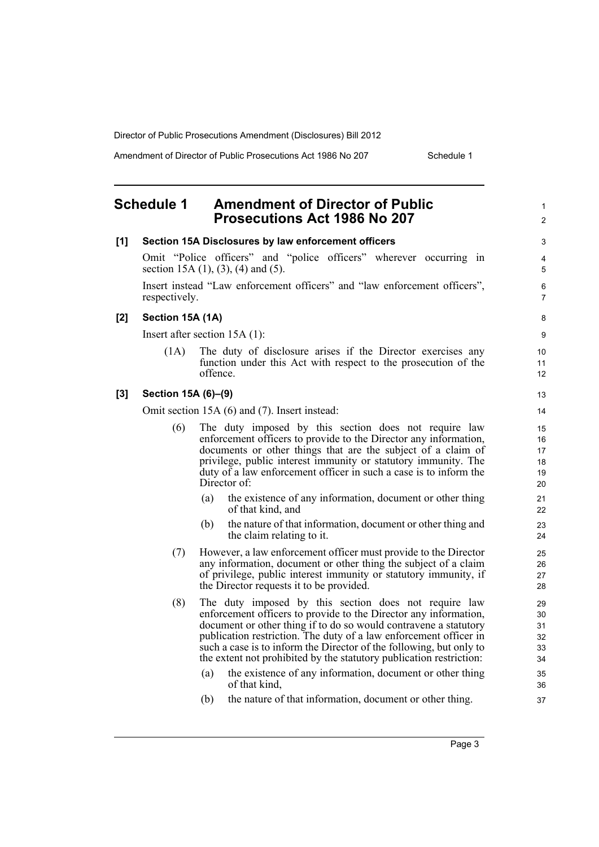Amendment of Director of Public Prosecutions Act 1986 No 207 Schedule 1

1 2

## <span id="page-8-0"></span>**Schedule 1 Amendment of Director of Public Prosecutions Act 1986 No 207**

| [1]   |                     | Section 15A Disclosures by law enforcement officers                                                                                                                                                                                                                                                                                                                                                              | 3                                |
|-------|---------------------|------------------------------------------------------------------------------------------------------------------------------------------------------------------------------------------------------------------------------------------------------------------------------------------------------------------------------------------------------------------------------------------------------------------|----------------------------------|
|       |                     | Omit "Police officers" and "police officers" wherever occurring in<br>section 15A $(1)$ , $(3)$ , $(4)$ and $(5)$ .                                                                                                                                                                                                                                                                                              | 4<br>5                           |
|       | respectively.       | Insert instead "Law enforcement officers" and "law enforcement officers",                                                                                                                                                                                                                                                                                                                                        | $\,6\,$<br>$\overline{7}$        |
| $[2]$ | Section 15A (1A)    |                                                                                                                                                                                                                                                                                                                                                                                                                  | 8                                |
|       |                     | Insert after section $15A(1)$ :                                                                                                                                                                                                                                                                                                                                                                                  | 9                                |
|       | (1A)                | The duty of disclosure arises if the Director exercises any<br>function under this Act with respect to the prosecution of the<br>offence.                                                                                                                                                                                                                                                                        | 10<br>11<br>12                   |
| $[3]$ | Section 15A (6)-(9) |                                                                                                                                                                                                                                                                                                                                                                                                                  | 13                               |
|       |                     | Omit section 15A (6) and (7). Insert instead:                                                                                                                                                                                                                                                                                                                                                                    | 14                               |
|       | (6)                 | The duty imposed by this section does not require law<br>enforcement officers to provide to the Director any information,<br>documents or other things that are the subject of a claim of<br>privilege, public interest immunity or statutory immunity. The<br>duty of a law enforcement officer in such a case is to inform the<br>Director of:                                                                 | 15<br>16<br>17<br>18<br>19<br>20 |
|       |                     | the existence of any information, document or other thing<br>(a)<br>of that kind, and                                                                                                                                                                                                                                                                                                                            | 21<br>22                         |
|       |                     | the nature of that information, document or other thing and<br>(b)<br>the claim relating to it.                                                                                                                                                                                                                                                                                                                  | 23<br>24                         |
|       | (7)                 | However, a law enforcement officer must provide to the Director<br>any information, document or other thing the subject of a claim<br>of privilege, public interest immunity or statutory immunity, if<br>the Director requests it to be provided.                                                                                                                                                               | 25<br>26<br>27<br>28             |
|       | (8)                 | The duty imposed by this section does not require law<br>enforcement officers to provide to the Director any information,<br>document or other thing if to do so would contravene a statutory<br>publication restriction. The duty of a law enforcement officer in<br>such a case is to inform the Director of the following, but only to<br>the extent not prohibited by the statutory publication restriction: | 29<br>30<br>31<br>32<br>33<br>34 |
|       |                     | the existence of any information, document or other thing<br>(a)<br>of that kind,                                                                                                                                                                                                                                                                                                                                | 35<br>36                         |
|       |                     | (b)<br>the nature of that information, document or other thing.                                                                                                                                                                                                                                                                                                                                                  | 37                               |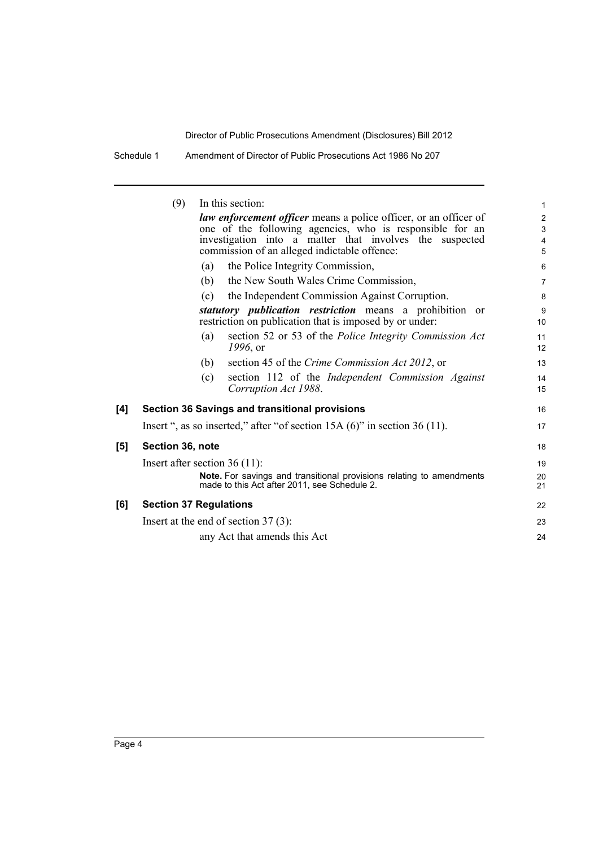| Amendment of Director of Public Prosecutions Act 1986 No 207<br>Schedule 1 |
|----------------------------------------------------------------------------|
|----------------------------------------------------------------------------|

|     | (9)                             |     | In this section:                                                                                                            | 1                       |
|-----|---------------------------------|-----|-----------------------------------------------------------------------------------------------------------------------------|-------------------------|
|     |                                 |     | <i>law enforcement officer</i> means a police officer, or an officer of                                                     | $\overline{\mathbf{c}}$ |
|     |                                 |     | one of the following agencies, who is responsible for an                                                                    | 3                       |
|     |                                 |     | investigation into a matter that involves the suspected                                                                     | 4                       |
|     |                                 |     | commission of an alleged indictable offence:                                                                                | 5                       |
|     |                                 | (a) | the Police Integrity Commission,                                                                                            | 6                       |
|     |                                 | (b) | the New South Wales Crime Commission,                                                                                       | 7                       |
|     |                                 | (c) | the Independent Commission Against Corruption.                                                                              | 8                       |
|     |                                 |     | statutory <i>publication</i> restriction means a prohibition or<br>restriction on publication that is imposed by or under:  | 9<br>10                 |
|     |                                 | (a) | section 52 or 53 of the Police Integrity Commission Act<br>$1996,$ or                                                       | 11<br>12                |
|     |                                 | (b) | section 45 of the Crime Commission Act 2012, or                                                                             | 13                      |
|     |                                 | (c) | section 112 of the Independent Commission Against<br>Corruption Act 1988.                                                   | 14<br>15                |
| [4] |                                 |     | <b>Section 36 Savings and transitional provisions</b>                                                                       | 16                      |
|     |                                 |     | Insert ", as so inserted," after "of section $15A(6)$ " in section $36(11)$ .                                               | 17                      |
| [5] | Section 36, note                |     |                                                                                                                             | 18                      |
|     | Insert after section $36(11)$ : |     |                                                                                                                             | 19                      |
|     |                                 |     | <b>Note.</b> For savings and transitional provisions relating to amendments<br>made to this Act after 2011, see Schedule 2. | 20<br>21                |
| [6] | <b>Section 37 Regulations</b>   |     |                                                                                                                             | 22                      |
|     |                                 |     | Insert at the end of section $37(3)$ :                                                                                      | 23                      |
|     |                                 |     | any Act that amends this Act                                                                                                | 24                      |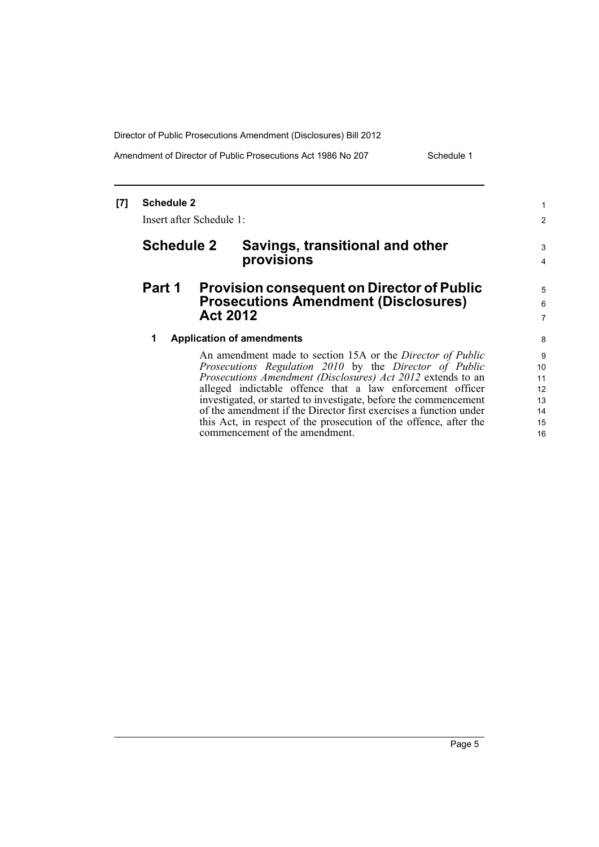Amendment of Director of Public Prosecutions Act 1986 No 207 Schedule 1

#### **[7] Schedule 2** Insert after Schedule 1: **Schedule 2 Savings, transitional and other provisions Part 1 Provision consequent on Director of Public Prosecutions Amendment (Disclosures) Act 2012 1 Application of amendments** An amendment made to section 15A or the *Director of Public Prosecutions Regulation 2010* by the *Director of Public Prosecutions Amendment (Disclosures) Act 2012* extends to an alleged indictable offence that a law enforcement officer investigated, or started to investigate, before the commencement of the amendment if the Director first exercises a function under this Act, in respect of the prosecution of the offence, after the commencement of the amendment. 1 2 3 4 5 6 7 8 9 10 11 12 13 14 15 16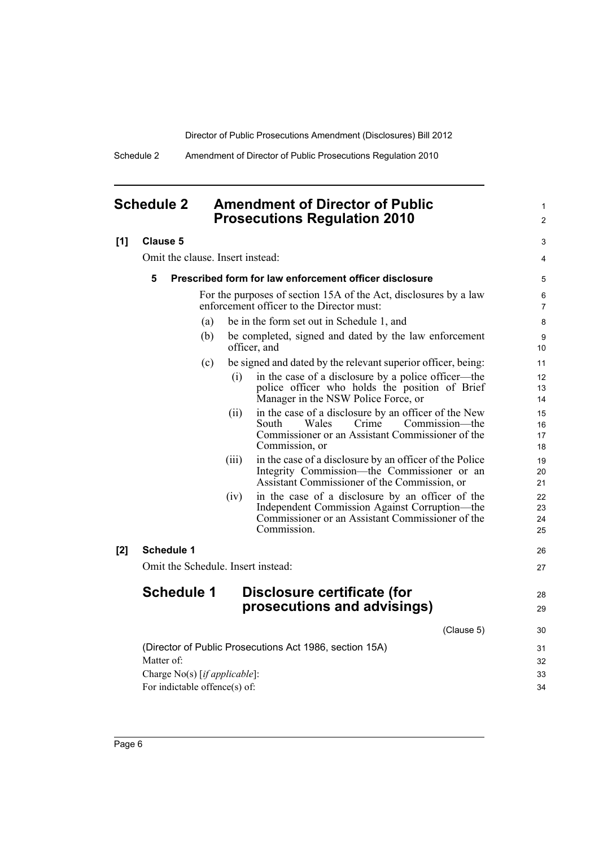1

Schedule 2 Amendment of Director of Public Prosecutions Regulation 2010

## <span id="page-11-0"></span>**Schedule 2 Amendment of Director of Public Prosecutions Regulation 2010**

|     | <b>Prosecutions Regulation 2010</b>                                                                                                                                             | $\overline{2}$       |
|-----|---------------------------------------------------------------------------------------------------------------------------------------------------------------------------------|----------------------|
| [1] | <b>Clause 5</b>                                                                                                                                                                 | 3                    |
|     | Omit the clause. Insert instead:                                                                                                                                                | 4                    |
|     | 5<br>Prescribed form for law enforcement officer disclosure                                                                                                                     | 5                    |
|     | For the purposes of section 15A of the Act, disclosures by a law<br>enforcement officer to the Director must:                                                                   | 6<br>$\overline{7}$  |
|     | be in the form set out in Schedule 1, and<br>(a)                                                                                                                                | 8                    |
|     | be completed, signed and dated by the law enforcement<br>(b)<br>officer, and                                                                                                    | 9<br>10              |
|     | (c)<br>be signed and dated by the relevant superior officer, being:                                                                                                             | 11                   |
|     | in the case of a disclosure by a police officer—the<br>(i)<br>police officer who holds the position of Brief<br>Manager in the NSW Police Force, or                             | 12<br>13<br>14       |
|     | in the case of a disclosure by an officer of the New<br>(ii)<br>South<br>Wales<br>Crime<br>Commission—the<br>Commissioner or an Assistant Commissioner of the<br>Commission, or | 15<br>16<br>17<br>18 |
|     | in the case of a disclosure by an officer of the Police<br>(iii)<br>Integrity Commission—the Commissioner or an<br>Assistant Commissioner of the Commission, or                 | 19<br>20<br>21       |
|     | in the case of a disclosure by an officer of the<br>(iv)<br>Independent Commission Against Corruption—the<br>Commissioner or an Assistant Commissioner of the<br>Commission.    | 22<br>23<br>24<br>25 |
| [2] | <b>Schedule 1</b>                                                                                                                                                               | 26                   |
|     | Omit the Schedule. Insert instead:                                                                                                                                              | 27                   |
|     | <b>Schedule 1</b><br>Disclosure certificate (for<br>prosecutions and advisings)                                                                                                 | 28<br>29             |
|     | (Clause 5)                                                                                                                                                                      | 30                   |
|     | (Director of Public Prosecutions Act 1986, section 15A)<br>Matter of:<br>Charge No(s) [if applicable]:                                                                          | 31<br>32<br>33       |
|     | For indictable offence(s) of:                                                                                                                                                   | 34                   |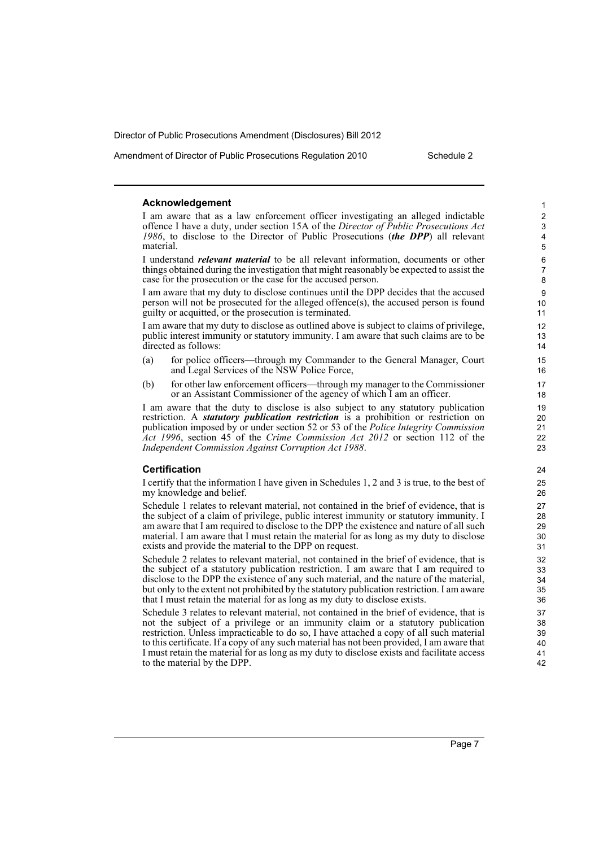Amendment of Director of Public Prosecutions Regulation 2010 Schedule 2

### **Acknowledgement**

I am aware that as a law enforcement officer investigating an alleged indictable offence I have a duty, under section 15A of the *Director of Public Prosecutions Act 1986*, to disclose to the Director of Public Prosecutions (*the DPP*) all relevant material.

I understand *relevant material* to be all relevant information, documents or other things obtained during the investigation that might reasonably be expected to assist the case for the prosecution or the case for the accused person.

I am aware that my duty to disclose continues until the DPP decides that the accused person will not be prosecuted for the alleged offence(s), the accused person is found guilty or acquitted, or the prosecution is terminated.

I am aware that my duty to disclose as outlined above is subject to claims of privilege, public interest immunity or statutory immunity. I am aware that such claims are to be directed as follows:

- (a) for police officers—through my Commander to the General Manager, Court and Legal Services of the NSW Police Force,
- (b) for other law enforcement officers—through my manager to the Commissioner or an Assistant Commissioner of the agency of which I am an officer.

I am aware that the duty to disclose is also subject to any statutory publication restriction. A *statutory publication restriction* is a prohibition or restriction on publication imposed by or under section 52 or 53 of the *Police Integrity Commission Act 1996*, section 45 of the *Crime Commission Act 2012* or section 112 of the *Independent Commission Against Corruption Act 1988*.

### **Certification**

I certify that the information I have given in Schedules 1, 2 and 3 is true, to the best of my knowledge and belief.

Schedule 1 relates to relevant material, not contained in the brief of evidence, that is the subject of a claim of privilege, public interest immunity or statutory immunity. I am aware that I am required to disclose to the DPP the existence and nature of all such material. I am aware that I must retain the material for as long as my duty to disclose exists and provide the material to the DPP on request.

Schedule 2 relates to relevant material, not contained in the brief of evidence, that is the subject of a statutory publication restriction. I am aware that I am required to disclose to the DPP the existence of any such material, and the nature of the material, but only to the extent not prohibited by the statutory publication restriction. I am aware that I must retain the material for as long as my duty to disclose exists.

Schedule 3 relates to relevant material, not contained in the brief of evidence, that is not the subject of a privilege or an immunity claim or a statutory publication restriction. Unless impracticable to do so, I have attached a copy of all such material to this certificate. If a copy of any such material has not been provided, I am aware that I must retain the material for as long as my duty to disclose exists and facilitate access to the material by the DPP.

1  $\overline{2}$ 3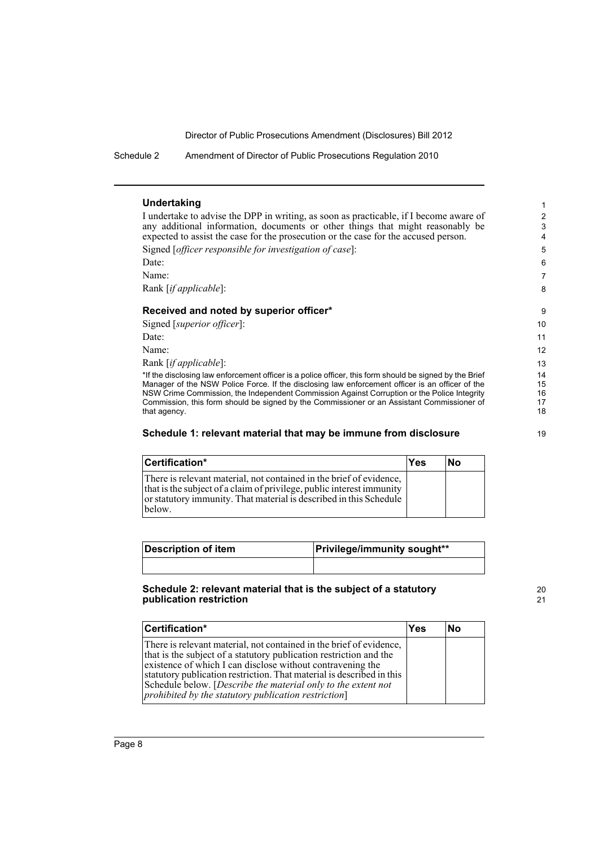Schedule 2 Amendment of Director of Public Prosecutions Regulation 2010

### **Undertaking**

I undertake to advise the DPP in writing, as soon as practicable, if I become aware of any additional information, documents or other things that might reasonably be expected to assist the case for the prosecution or the case for the accused person. Signed [*officer responsible for investigation of case*]:

Date:

Name:

Rank [*if applicable*]:

### **Received and noted by superior officer\***

Signed [*superior officer*]: Date: Name:

Rank [*if applicable*]:

\*If the disclosing law enforcement officer is a police officer, this form should be signed by the Brief Manager of the NSW Police Force. If the disclosing law enforcement officer is an officer of the NSW Crime Commission, the Independent Commission Against Corruption or the Police Integrity Commission, this form should be signed by the Commissioner or an Assistant Commissioner of that agency.

### **Schedule 1: relevant material that may be immune from disclosure**

| Certification*                                                                                                                                                                                                               | Yes | lNo |
|------------------------------------------------------------------------------------------------------------------------------------------------------------------------------------------------------------------------------|-----|-----|
| There is relevant material, not contained in the brief of evidence,<br>that is the subject of a claim of privilege, public interest immunity<br>or statutory immunity. That material is described in this Schedule<br>below. |     |     |

| <b>Description of item</b> | <b>Privilege/immunity sought**</b> |  |
|----------------------------|------------------------------------|--|
|                            |                                    |  |

### **Schedule 2: relevant material that is the subject of a statutory publication restriction**

| Certification*                                                                                                                                                                                                                                                                                                                                                                                            | Yes | lΝo |
|-----------------------------------------------------------------------------------------------------------------------------------------------------------------------------------------------------------------------------------------------------------------------------------------------------------------------------------------------------------------------------------------------------------|-----|-----|
| There is relevant material, not contained in the brief of evidence,<br>that is the subject of a statutory publication restriction and the<br>existence of which I can disclose without contravening the<br>statutory publication restriction. That material is described in this<br>Schedule below. [Describe the material only to the extent not<br>prohibited by the statutory publication restriction] |     |     |

20 21

19